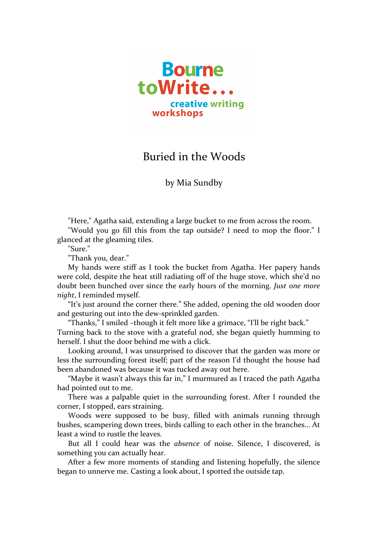

## Buried in the Woods

by Mia Sundby

"Here," Agatha said, extending a large bucket to me from across the room.

"Would you go fill this from the tap outside? I need to mop the floor." I glanced at the gleaming tiles.

"Sure."

"Thank you, dear."

My hands were stiff as I took the bucket from Agatha. Her papery hands were cold, despite the heat still radiating off of the huge stove, which she'd no doubt been hunched over since the early hours of the morning. *Just one more night*, I reminded myself.

"It's just around the corner there." She added, opening the old wooden door and gesturing out into the dew-sprinkled garden.

"Thanks," I smiled -though it felt more like a grimace, "I'll be right back." Turning back to the stove with a grateful nod, she began quietly humming to herself. I shut the door behind me with a click.

Looking around, I was unsurprised to discover that the garden was more or less the surrounding forest itself; part of the reason I'd thought the house had been abandoned was because it was tucked away out here.

"Maybe it wasn't always this far in," I murmured as I traced the path Agatha had pointed out to me.

There was a palpable quiet in the surrounding forest. After I rounded the corner, I stopped, ears straining.

Woods were supposed to be busy, filled with animals running through bushes, scampering down trees, birds calling to each other in the branches... At least a wind to rustle the leaves.

But all I could hear was the *absence* of noise. Silence, I discovered, is something you can actually hear.

After a few more moments of standing and listening hopefully, the silence began to unnerve me. Casting a look about, I spotted the outside tap.